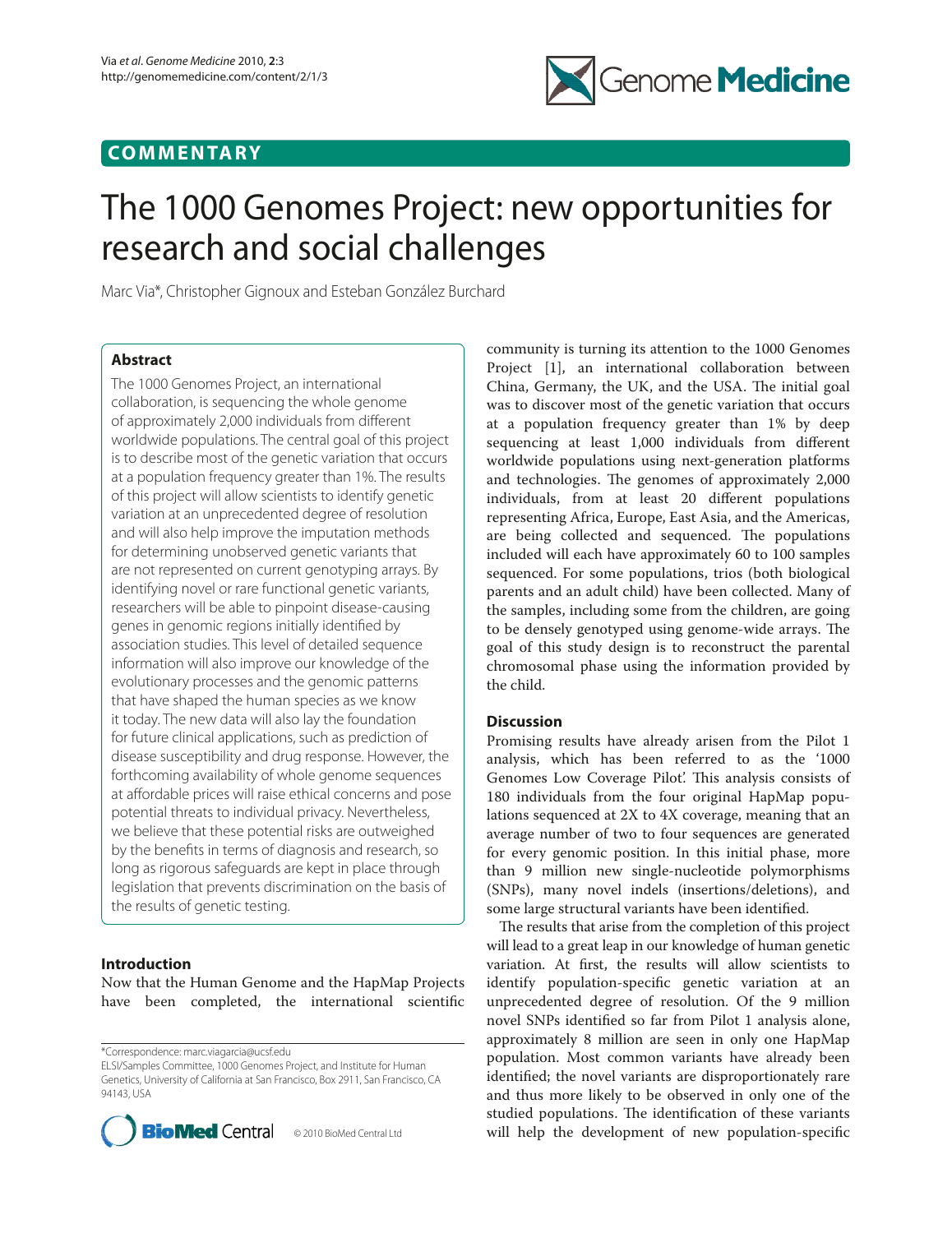## **COMMENTARY**



# The 1000 Genomes Project: new opportunities for research and social challenges

Marc Via\*, Christopher Gignoux and Esteban González Burchard

## **Abstract**

The 1000 Genomes Project, an international collaboration, is sequencing the whole genome of approximately 2,000 individuals from different worldwide populations. The central goal of this project is to describe most of the genetic variation that occurs at a population frequency greater than 1%. The results of this project will allow scientists to identify genetic variation at an unprecedented degree of resolution and will also help improve the imputation methods for determining unobserved genetic variants that are not represented on current genotyping arrays. By identifying novel or rare functional genetic variants, researchers will be able to pinpoint disease-causing genes in genomic regions initially identified by association studies. This level of detailed sequence information will also improve our knowledge of the evolutionary processes and the genomic patterns that have shaped the human species as we know it today. The new data will also lay the foundation for future clinical applications, such as prediction of disease susceptibility and drug response. However, the forthcoming availability of whole genome sequences at affordable prices will raise ethical concerns and pose potential threats to individual privacy. Nevertheless, we believe that these potential risks are outweighed by the benefits in terms of diagnosis and research, so long as rigorous safeguards are kept in place through legislation that prevents discrimination on the basis of the results of genetic testing.

## **Introduction**

Now that the Human Genome and the HapMap Projects have been completed, the international scientific

\*Correspondence: marc.viagarcia@ucsf.edu

ELSI/Samples Committee, 1000 Genomes Project, and Institute for Human Genetics, University of California at San Francisco, Box 2911, San Francisco, CA 94143, USA



community is turning its attention to the 1000 Genomes Project [1], an international collaboration between China, Germany, the UK, and the USA. The initial goal was to discover most of the genetic variation that occurs at a population frequency greater than 1% by deep sequencing at least 1,000 individuals from different worldwide populations using next-generation platforms and technologies. The genomes of approximately 2,000 individuals, from at least 20 different populations representing Africa, Europe, East Asia, and the Americas, are being collected and sequenced. The populations included will each have approximately 60 to 100 samples sequenced. For some populations, trios (both biological parents and an adult child) have been collected. Many of the samples, including some from the children, are going to be densely genotyped using genome-wide arrays. The goal of this study design is to reconstruct the parental chromosomal phase using the information provided by the child.

## **Discussion**

Promising results have already arisen from the Pilot 1 analysis, which has been referred to as the '1000 Genomes Low Coverage Pilot'. This analysis consists of 180 individuals from the four original HapMap populations sequenced at 2X to 4X coverage, meaning that an average number of two to four sequences are generated for every genomic position. In this initial phase, more than 9 million new single-nucleotide polymorphisms (SNPs), many novel indels (insertions/deletions), and some large structural variants have been identified.

The results that arise from the completion of this project will lead to a great leap in our knowledge of human genetic variation. At first, the results will allow scientists to identify population-specific genetic variation at an unprecedented degree of resolution. Of the 9 million novel SNPs identified so far from Pilot 1 analysis alone, approximately 8 million are seen in only one HapMap population. Most common variants have already been identified; the novel variants are disproportionately rare and thus more likely to be observed in only one of the studied populations. The identification of these variants will help the development of new population-specific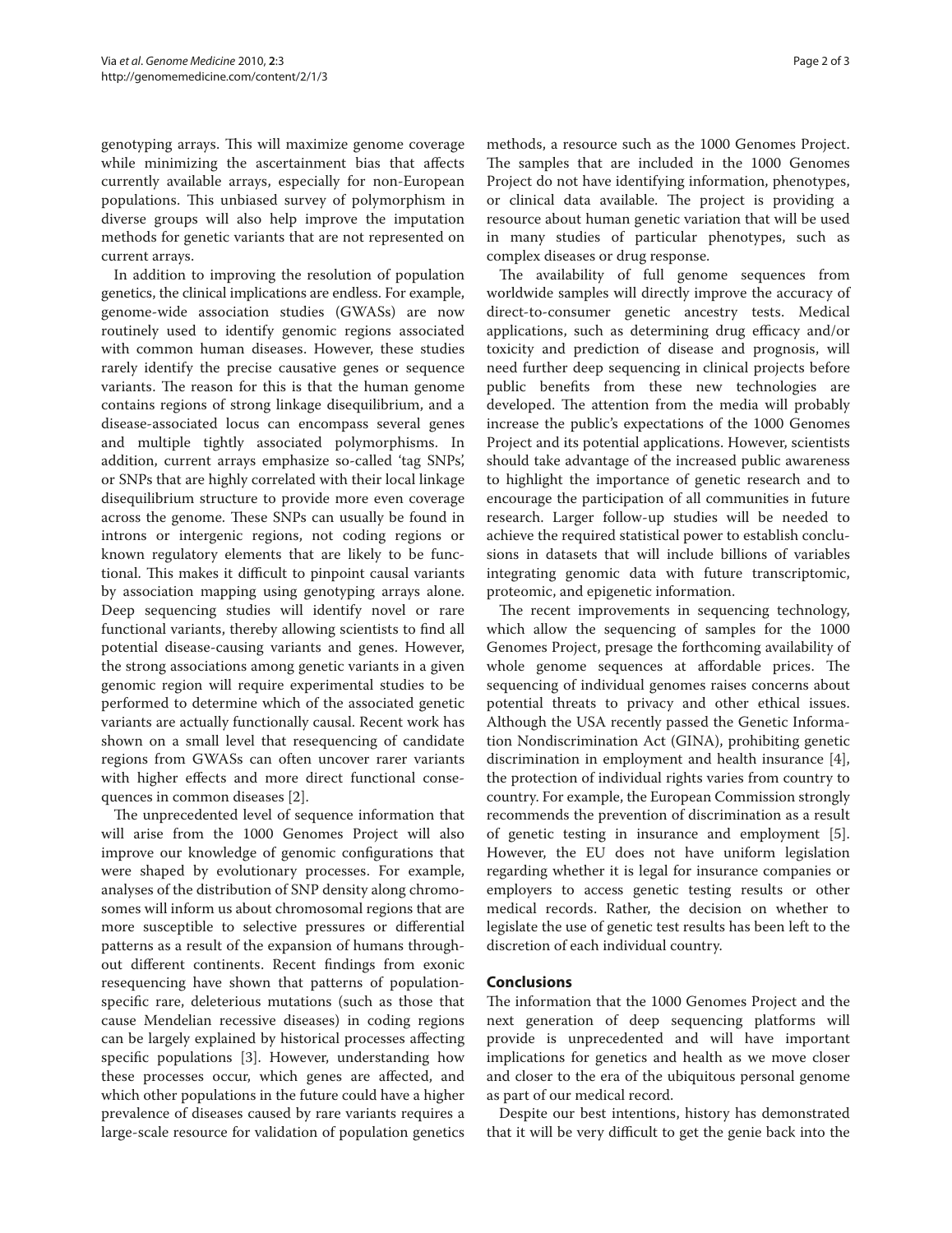genotyping arrays. This will maximize genome coverage while minimizing the ascertainment bias that affects currently available arrays, especially for non-European populations. This unbiased survey of polymorphism in diverse groups will also help improve the imputation methods for genetic variants that are not represented on current arrays.

In addition to improving the resolution of population genetics, the clinical implications are endless. For example, genome-wide association studies (GWASs) are now routinely used to identify genomic regions associated with common human diseases. However, these studies rarely identify the precise causative genes or sequence variants. The reason for this is that the human genome contains regions of strong linkage disequilibrium, and a disease-associated locus can encompass several genes and multiple tightly associated polymorphisms. In addition, current arrays emphasize so-called 'tag SNPs', or SNPs that are highly correlated with their local linkage disequilibrium structure to provide more even coverage across the genome. These SNPs can usually be found in introns or intergenic regions, not coding regions or known regulatory elements that are likely to be functional. This makes it difficult to pinpoint causal variants by association mapping using genotyping arrays alone. Deep sequencing studies will identify novel or rare functional variants, thereby allowing scientists to find all potential disease-causing variants and genes. However, the strong associations among genetic variants in a given genomic region will require experimental studies to be performed to determine which of the associated genetic variants are actually functionally causal. Recent work has shown on a small level that resequencing of candidate regions from GWASs can often uncover rarer variants with higher effects and more direct functional consequences in common diseases [2].

The unprecedented level of sequence information that will arise from the 1000 Genomes Project will also improve our knowledge of genomic configurations that were shaped by evolutionary processes. For example, analyses of the distribution of SNP density along chromosomes will inform us about chromosomal regions that are more susceptible to selective pressures or differential patterns as a result of the expansion of humans throughout different continents. Recent findings from exonic resequencing have shown that patterns of populationspecific rare, deleterious mutations (such as those that cause Mendelian recessive diseases) in coding regions can be largely explained by historical processes affecting specific populations [3]. However, understanding how these processes occur, which genes are affected, and which other populations in the future could have a higher prevalence of diseases caused by rare variants requires a large-scale resource for validation of population genetics

methods, a resource such as the 1000 Genomes Project. The samples that are included in the 1000 Genomes Project do not have identifying information, phenotypes, or clinical data available. The project is providing a resource about human genetic variation that will be used in many studies of particular phenotypes, such as complex diseases or drug response.

The availability of full genome sequences from worldwide samples will directly improve the accuracy of direct-to-consumer genetic ancestry tests. Medical applications, such as determining drug efficacy and/or toxicity and prediction of disease and prognosis, will need further deep sequencing in clinical projects before public benefits from these new technologies are developed. The attention from the media will probably increase the public's expectations of the 1000 Genomes Project and its potential applications. However, scientists should take advantage of the increased public awareness to highlight the importance of genetic research and to encourage the participation of all communities in future research. Larger follow-up studies will be needed to achieve the required statistical power to establish conclusions in datasets that will include billions of variables integrating genomic data with future transcriptomic, proteomic, and epigenetic information.

The recent improvements in sequencing technology, which allow the sequencing of samples for the 1000 Genomes Project, presage the forthcoming availability of whole genome sequences at affordable prices. The sequencing of individual genomes raises concerns about potential threats to privacy and other ethical issues. Although the USA recently passed the Genetic Information Nondiscrimination Act (GINA), prohibiting genetic discrimination in employment and health insurance [4], the protection of individual rights varies from country to country. For example, the European Commission strongly recommends the prevention of discrimination as a result of genetic testing in insurance and employment [5]. However, the EU does not have uniform legislation regarding whether it is legal for insurance companies or employers to access genetic testing results or other medical records. Rather, the decision on whether to legislate the use of genetic test results has been left to the discretion of each individual country.

### **Conclusions**

The information that the 1000 Genomes Project and the next generation of deep sequencing platforms will provide is unprecedented and will have important implications for genetics and health as we move closer and closer to the era of the ubiquitous personal genome as part of our medical record.

Despite our best intentions, history has demonstrated that it will be very difficult to get the genie back into the